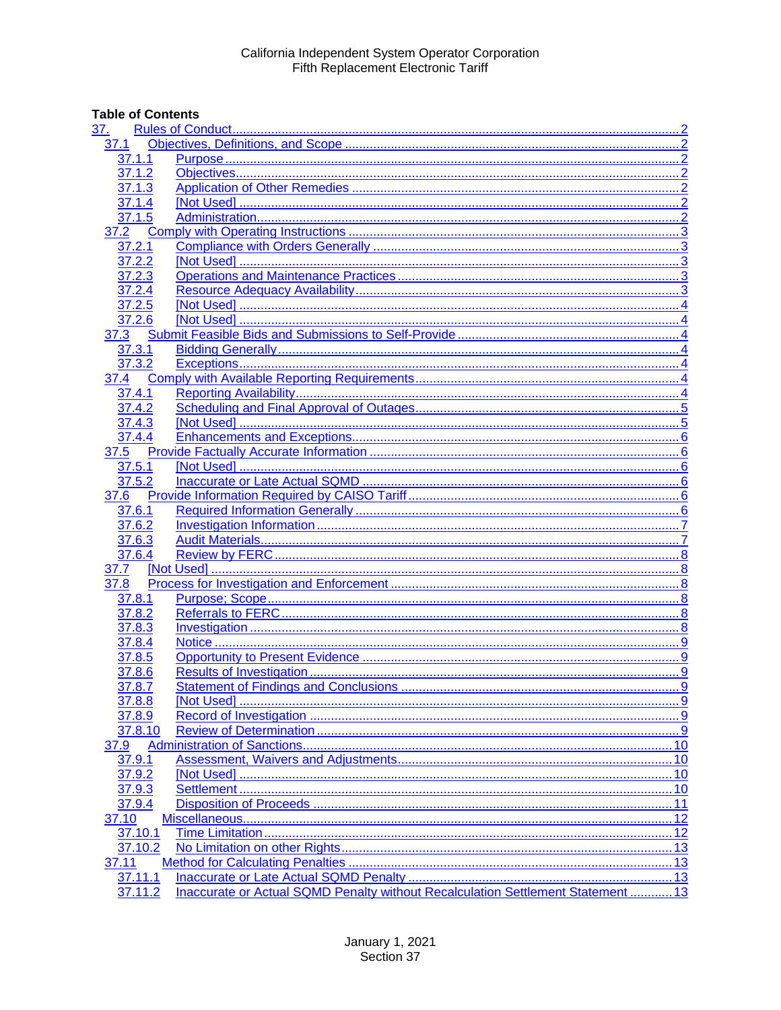# **Table of Contents**

| <u>37.</u> |                                                                                  |  |
|------------|----------------------------------------------------------------------------------|--|
| 37.1       |                                                                                  |  |
| 37.1.1     |                                                                                  |  |
| 37.1.2     |                                                                                  |  |
| 37.1.3     |                                                                                  |  |
| 37.1.4     |                                                                                  |  |
| 37.1.5     |                                                                                  |  |
| 37.2       |                                                                                  |  |
| 37.2.1     |                                                                                  |  |
| 37.2.2     |                                                                                  |  |
| 37.2.3     |                                                                                  |  |
| 37.2.4     |                                                                                  |  |
| 37.2.5     |                                                                                  |  |
| 37.2.6     |                                                                                  |  |
| 37.3       |                                                                                  |  |
| 37.3.1     |                                                                                  |  |
| 37.3.2     |                                                                                  |  |
| 37.4       |                                                                                  |  |
| 37.4.1     |                                                                                  |  |
| 37.4.2     |                                                                                  |  |
| 37.4.3     |                                                                                  |  |
| 37.4.4     |                                                                                  |  |
| 37.5       |                                                                                  |  |
| 37.5.1     |                                                                                  |  |
| 37.5.2     |                                                                                  |  |
| 37.6       |                                                                                  |  |
| 37.6.1     |                                                                                  |  |
| 37.6.2     |                                                                                  |  |
| 37.6.3     |                                                                                  |  |
| 37.6.4     |                                                                                  |  |
| 37.7       |                                                                                  |  |
| 37.8       |                                                                                  |  |
| 37.8.1     |                                                                                  |  |
| 37.8.2     |                                                                                  |  |
| 37.8.3     |                                                                                  |  |
| 37.8.4     |                                                                                  |  |
| 37.8.5     |                                                                                  |  |
| 37.8.6     |                                                                                  |  |
| 37.8.7     |                                                                                  |  |
| 37.8.8     |                                                                                  |  |
| 37.8.9     |                                                                                  |  |
| 37.8.10    |                                                                                  |  |
| 37.9       |                                                                                  |  |
| 37.9.1     |                                                                                  |  |
| 37.9.2     |                                                                                  |  |
| 37.9.3     |                                                                                  |  |
| 37.9.4     |                                                                                  |  |
|            |                                                                                  |  |
| 37.10      |                                                                                  |  |
| 37.10.1    |                                                                                  |  |
| 37.10.2    |                                                                                  |  |
| 37.11      |                                                                                  |  |
| 37.11.1    |                                                                                  |  |
| 37.11.2    | Inaccurate or Actual SQMD Penalty without Recalculation Settlement Statement  13 |  |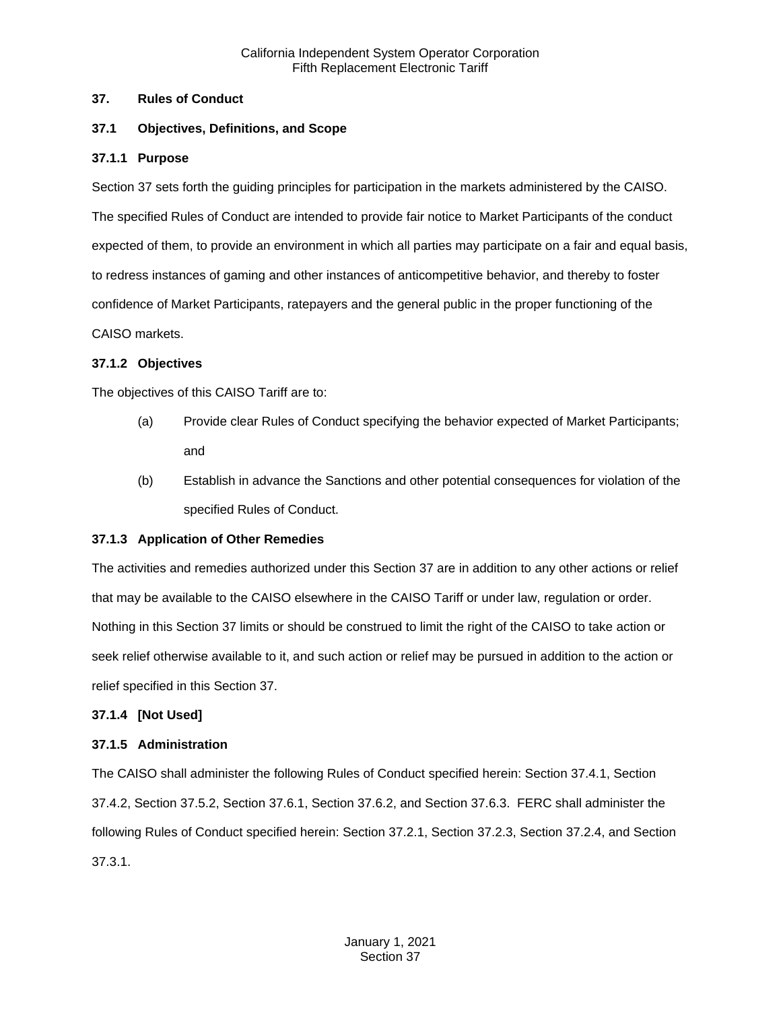#### <span id="page-1-0"></span>**37. Rules of Conduct**

# <span id="page-1-1"></span>**37.1 Objectives, Definitions, and Scope**

#### <span id="page-1-2"></span>**37.1.1 Purpose**

Section 37 sets forth the guiding principles for participation in the markets administered by the CAISO. The specified Rules of Conduct are intended to provide fair notice to Market Participants of the conduct expected of them, to provide an environment in which all parties may participate on a fair and equal basis, to redress instances of gaming and other instances of anticompetitive behavior, and thereby to foster confidence of Market Participants, ratepayers and the general public in the proper functioning of the CAISO markets.

#### <span id="page-1-3"></span>**37.1.2 Objectives**

The objectives of this CAISO Tariff are to:

- (a) Provide clear Rules of Conduct specifying the behavior expected of Market Participants; and
- (b) Establish in advance the Sanctions and other potential consequences for violation of the specified Rules of Conduct.

# <span id="page-1-4"></span>**37.1.3 Application of Other Remedies**

The activities and remedies authorized under this Section 37 are in addition to any other actions or relief that may be available to the CAISO elsewhere in the CAISO Tariff or under law, regulation or order. Nothing in this Section 37 limits or should be construed to limit the right of the CAISO to take action or seek relief otherwise available to it, and such action or relief may be pursued in addition to the action or relief specified in this Section 37.

#### <span id="page-1-5"></span>**37.1.4 [Not Used]**

#### <span id="page-1-6"></span>**37.1.5 Administration**

The CAISO shall administer the following Rules of Conduct specified herein: Section 37.4.1, Section 37.4.2, Section 37.5.2, Section 37.6.1, Section 37.6.2, and Section 37.6.3. FERC shall administer the following Rules of Conduct specified herein: Section 37.2.1, Section 37.2.3, Section 37.2.4, and Section 37.3.1.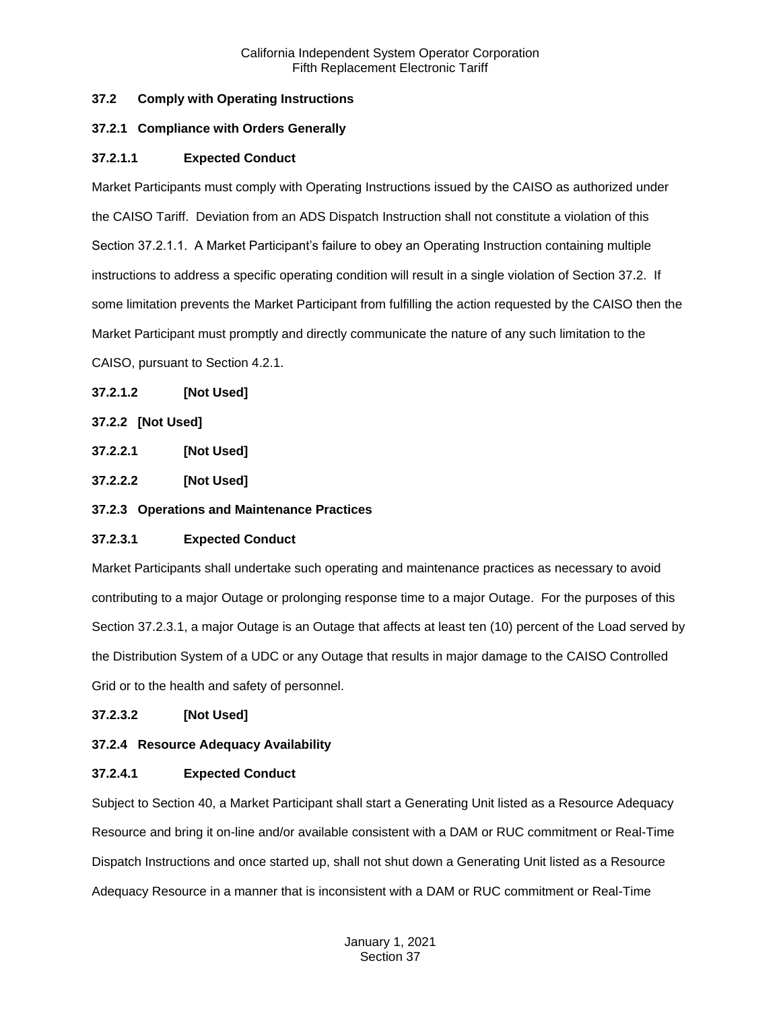# <span id="page-2-0"></span>**37.2 Comply with Operating Instructions**

# <span id="page-2-1"></span>**37.2.1 Compliance with Orders Generally**

# **37.2.1.1 Expected Conduct**

Market Participants must comply with Operating Instructions issued by the CAISO as authorized under the CAISO Tariff. Deviation from an ADS Dispatch Instruction shall not constitute a violation of this Section 37.2.1.1. A Market Participant's failure to obey an Operating Instruction containing multiple instructions to address a specific operating condition will result in a single violation of Section 37.2. If some limitation prevents the Market Participant from fulfilling the action requested by the CAISO then the Market Participant must promptly and directly communicate the nature of any such limitation to the CAISO, pursuant to Section 4.2.1.

# **37.2.1.2 [Not Used]**

# <span id="page-2-2"></span>**37.2.2 [Not Used]**

**37.2.2.1 [Not Used]**

**37.2.2.2 [Not Used]**

# <span id="page-2-3"></span>**37.2.3 Operations and Maintenance Practices**

# **37.2.3.1 Expected Conduct**

Market Participants shall undertake such operating and maintenance practices as necessary to avoid contributing to a major Outage or prolonging response time to a major Outage. For the purposes of this Section 37.2.3.1, a major Outage is an Outage that affects at least ten (10) percent of the Load served by the Distribution System of a UDC or any Outage that results in major damage to the CAISO Controlled Grid or to the health and safety of personnel.

# **37.2.3.2 [Not Used]**

# <span id="page-2-4"></span>**37.2.4 Resource Adequacy Availability**

# **37.2.4.1 Expected Conduct**

Subject to Section 40, a Market Participant shall start a Generating Unit listed as a Resource Adequacy Resource and bring it on-line and/or available consistent with a DAM or RUC commitment or Real-Time Dispatch Instructions and once started up, shall not shut down a Generating Unit listed as a Resource Adequacy Resource in a manner that is inconsistent with a DAM or RUC commitment or Real-Time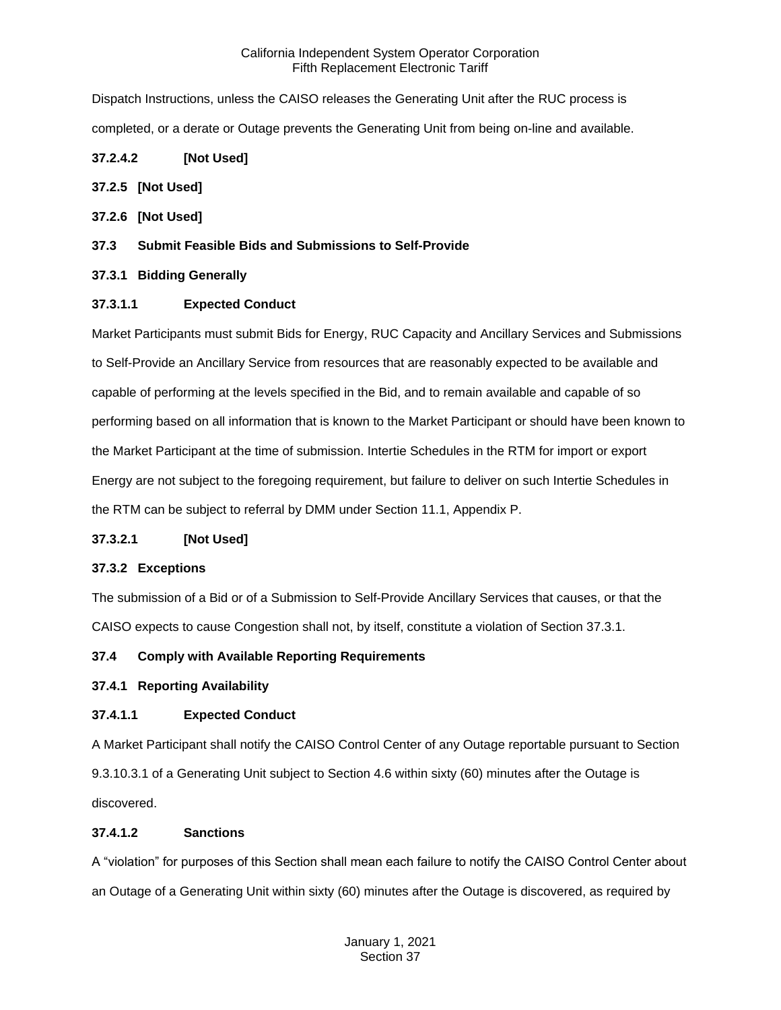Dispatch Instructions, unless the CAISO releases the Generating Unit after the RUC process is completed, or a derate or Outage prevents the Generating Unit from being on-line and available.

# **37.2.4.2 [Not Used]**

# <span id="page-3-0"></span>**37.2.5 [Not Used]**

<span id="page-3-1"></span>**37.2.6 [Not Used]**

# <span id="page-3-2"></span>**37.3 Submit Feasible Bids and Submissions to Self-Provide**

# <span id="page-3-3"></span>**37.3.1 Bidding Generally**

# **37.3.1.1 Expected Conduct**

Market Participants must submit Bids for Energy, RUC Capacity and Ancillary Services and Submissions to Self-Provide an Ancillary Service from resources that are reasonably expected to be available and capable of performing at the levels specified in the Bid, and to remain available and capable of so performing based on all information that is known to the Market Participant or should have been known to the Market Participant at the time of submission. Intertie Schedules in the RTM for import or export Energy are not subject to the foregoing requirement, but failure to deliver on such Intertie Schedules in the RTM can be subject to referral by DMM under Section 11.1, Appendix P.

# **37.3.2.1 [Not Used]**

# <span id="page-3-4"></span>**37.3.2 Exceptions**

The submission of a Bid or of a Submission to Self-Provide Ancillary Services that causes, or that the CAISO expects to cause Congestion shall not, by itself, constitute a violation of Section 37.3.1.

# <span id="page-3-5"></span>**37.4 Comply with Available Reporting Requirements**

# <span id="page-3-6"></span>**37.4.1 Reporting Availability**

# **37.4.1.1 Expected Conduct**

A Market Participant shall notify the CAISO Control Center of any Outage reportable pursuant to Section 9.3.10.3.1 of a Generating Unit subject to Section 4.6 within sixty (60) minutes after the Outage is discovered.

# **37.4.1.2 Sanctions**

A "violation" for purposes of this Section shall mean each failure to notify the CAISO Control Center about an Outage of a Generating Unit within sixty (60) minutes after the Outage is discovered, as required by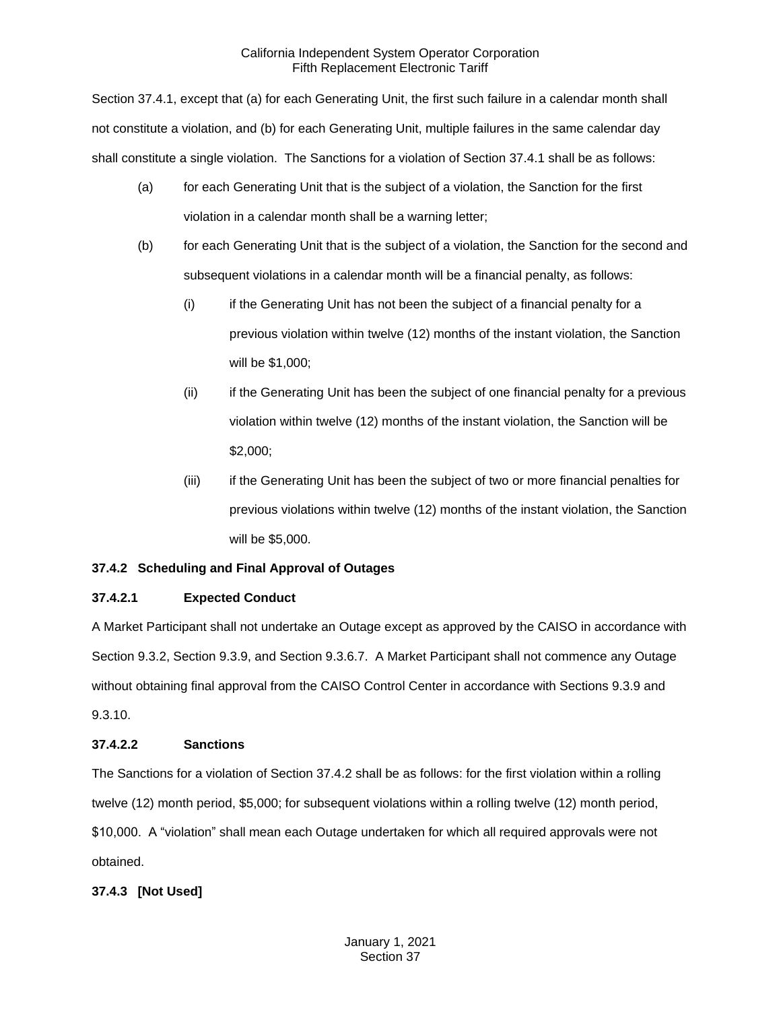Section 37.4.1, except that (a) for each Generating Unit, the first such failure in a calendar month shall not constitute a violation, and (b) for each Generating Unit, multiple failures in the same calendar day shall constitute a single violation. The Sanctions for a violation of Section 37.4.1 shall be as follows:

- (a) for each Generating Unit that is the subject of a violation, the Sanction for the first violation in a calendar month shall be a warning letter;
- (b) for each Generating Unit that is the subject of a violation, the Sanction for the second and subsequent violations in a calendar month will be a financial penalty, as follows:
	- (i) if the Generating Unit has not been the subject of a financial penalty for a previous violation within twelve (12) months of the instant violation, the Sanction will be \$1,000;
	- (ii) if the Generating Unit has been the subject of one financial penalty for a previous violation within twelve (12) months of the instant violation, the Sanction will be \$2,000;
	- (iii) if the Generating Unit has been the subject of two or more financial penalties for previous violations within twelve (12) months of the instant violation, the Sanction will be \$5,000.

# <span id="page-4-0"></span>**37.4.2 Scheduling and Final Approval of Outages**

# **37.4.2.1 Expected Conduct**

A Market Participant shall not undertake an Outage except as approved by the CAISO in accordance with Section 9.3.2, Section 9.3.9, and Section 9.3.6.7. A Market Participant shall not commence any Outage without obtaining final approval from the CAISO Control Center in accordance with Sections 9.3.9 and 9.3.10.

# **37.4.2.2 Sanctions**

The Sanctions for a violation of Section 37.4.2 shall be as follows: for the first violation within a rolling twelve (12) month period, \$5,000; for subsequent violations within a rolling twelve (12) month period, \$10,000. A "violation" shall mean each Outage undertaken for which all required approvals were not obtained.

# <span id="page-4-1"></span>**37.4.3 [Not Used]**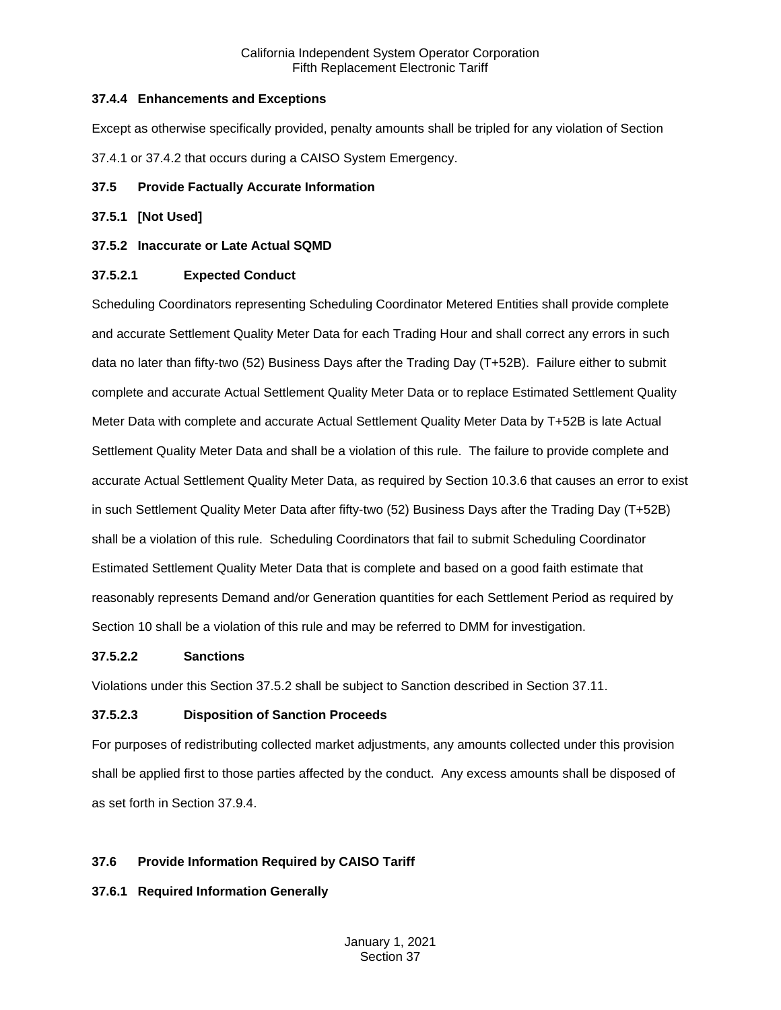# <span id="page-5-0"></span>**37.4.4 Enhancements and Exceptions**

Except as otherwise specifically provided, penalty amounts shall be tripled for any violation of Section 37.4.1 or 37.4.2 that occurs during a CAISO System Emergency.

# <span id="page-5-1"></span>**37.5 Provide Factually Accurate Information**

# <span id="page-5-2"></span>**37.5.1 [Not Used]**

# <span id="page-5-3"></span>**37.5.2 Inaccurate or Late Actual SQMD**

# **37.5.2.1 Expected Conduct**

Scheduling Coordinators representing Scheduling Coordinator Metered Entities shall provide complete and accurate Settlement Quality Meter Data for each Trading Hour and shall correct any errors in such data no later than fifty-two (52) Business Days after the Trading Day (T+52B). Failure either to submit complete and accurate Actual Settlement Quality Meter Data or to replace Estimated Settlement Quality Meter Data with complete and accurate Actual Settlement Quality Meter Data by T+52B is late Actual Settlement Quality Meter Data and shall be a violation of this rule. The failure to provide complete and accurate Actual Settlement Quality Meter Data, as required by Section 10.3.6 that causes an error to exist in such Settlement Quality Meter Data after fifty-two (52) Business Days after the Trading Day (T+52B) shall be a violation of this rule. Scheduling Coordinators that fail to submit Scheduling Coordinator Estimated Settlement Quality Meter Data that is complete and based on a good faith estimate that reasonably represents Demand and/or Generation quantities for each Settlement Period as required by Section 10 shall be a violation of this rule and may be referred to DMM for investigation.

# **37.5.2.2 Sanctions**

Violations under this Section 37.5.2 shall be subject to Sanction described in Section 37.11.

# **37.5.2.3 Disposition of Sanction Proceeds**

For purposes of redistributing collected market adjustments, any amounts collected under this provision shall be applied first to those parties affected by the conduct. Any excess amounts shall be disposed of as set forth in Section 37.9.4.

# <span id="page-5-4"></span>**37.6 Provide Information Required by CAISO Tariff**

# <span id="page-5-5"></span>**37.6.1 Required Information Generally**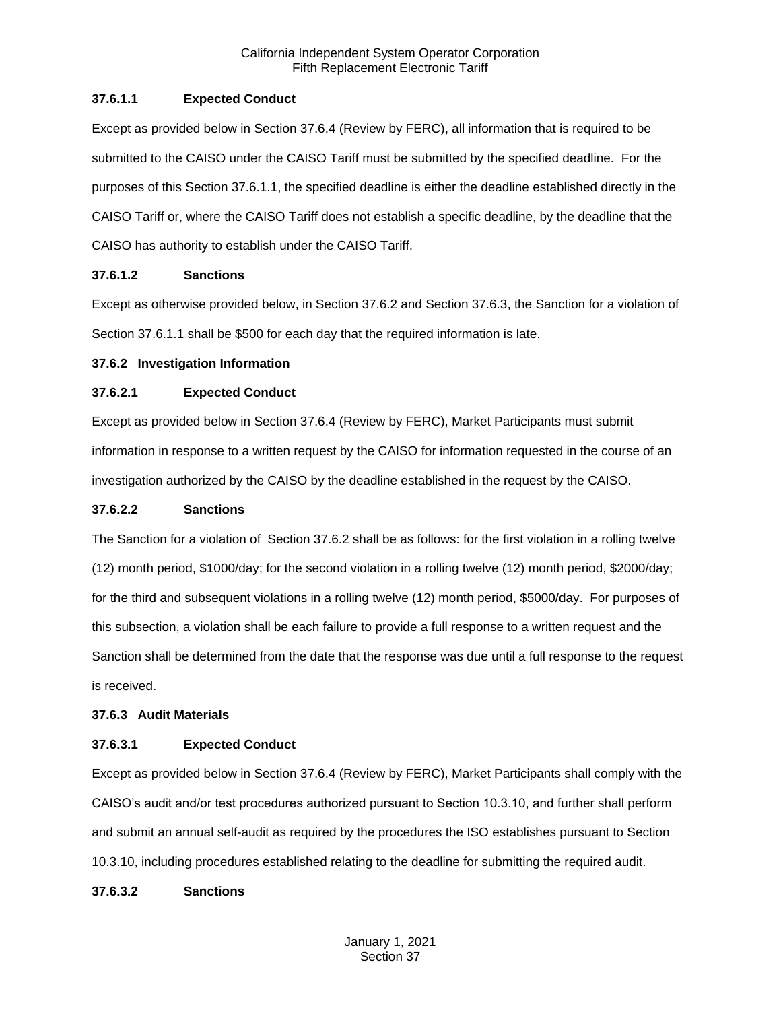# **37.6.1.1 Expected Conduct**

Except as provided below in Section 37.6.4 (Review by FERC), all information that is required to be submitted to the CAISO under the CAISO Tariff must be submitted by the specified deadline. For the purposes of this Section 37.6.1.1, the specified deadline is either the deadline established directly in the CAISO Tariff or, where the CAISO Tariff does not establish a specific deadline, by the deadline that the CAISO has authority to establish under the CAISO Tariff.

# **37.6.1.2 Sanctions**

Except as otherwise provided below, in Section 37.6.2 and Section 37.6.3, the Sanction for a violation of Section 37.6.1.1 shall be \$500 for each day that the required information is late.

#### <span id="page-6-0"></span>**37.6.2 Investigation Information**

#### **37.6.2.1 Expected Conduct**

Except as provided below in Section 37.6.4 (Review by FERC), Market Participants must submit information in response to a written request by the CAISO for information requested in the course of an investigation authorized by the CAISO by the deadline established in the request by the CAISO.

#### **37.6.2.2 Sanctions**

The Sanction for a violation of Section 37.6.2 shall be as follows: for the first violation in a rolling twelve (12) month period, \$1000/day; for the second violation in a rolling twelve (12) month period, \$2000/day; for the third and subsequent violations in a rolling twelve (12) month period, \$5000/day. For purposes of this subsection, a violation shall be each failure to provide a full response to a written request and the Sanction shall be determined from the date that the response was due until a full response to the request is received.

# <span id="page-6-1"></span>**37.6.3 Audit Materials**

# **37.6.3.1 Expected Conduct**

Except as provided below in Section 37.6.4 (Review by FERC), Market Participants shall comply with the CAISO's audit and/or test procedures authorized pursuant to Section 10.3.10, and further shall perform and submit an annual self-audit as required by the procedures the ISO establishes pursuant to Section 10.3.10, including procedures established relating to the deadline for submitting the required audit.

#### **37.6.3.2 Sanctions**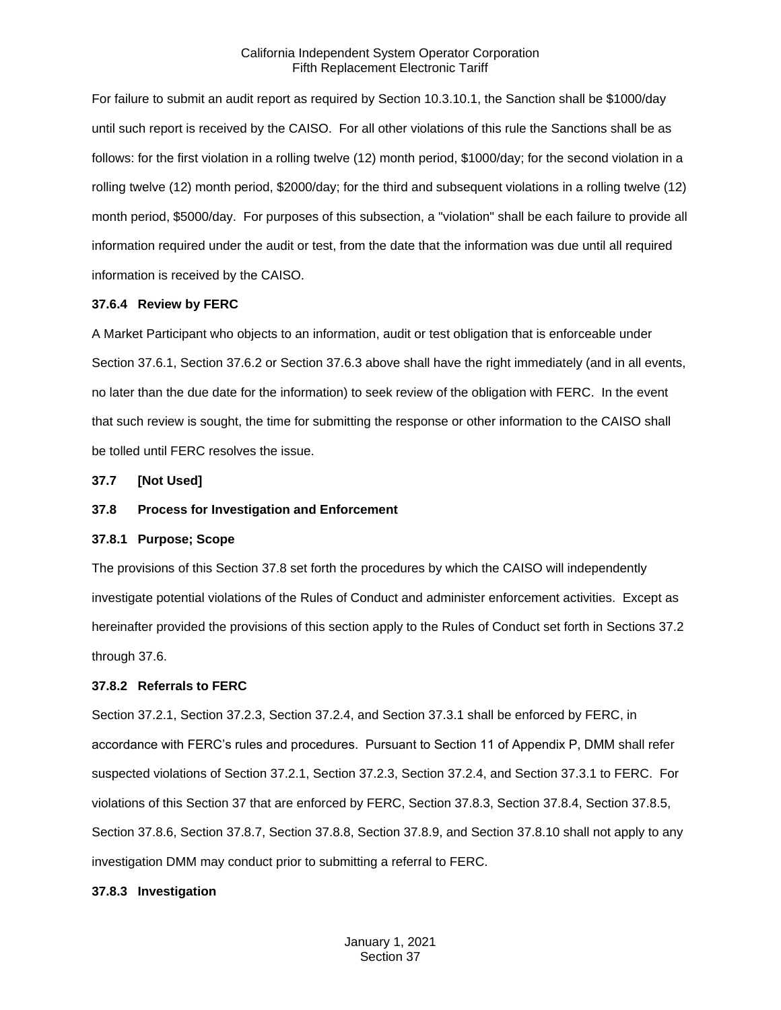For failure to submit an audit report as required by Section 10.3.10.1, the Sanction shall be \$1000/day until such report is received by the CAISO. For all other violations of this rule the Sanctions shall be as follows: for the first violation in a rolling twelve (12) month period, \$1000/day; for the second violation in a rolling twelve (12) month period, \$2000/day; for the third and subsequent violations in a rolling twelve (12) month period, \$5000/day. For purposes of this subsection, a "violation" shall be each failure to provide all information required under the audit or test, from the date that the information was due until all required information is received by the CAISO.

#### <span id="page-7-0"></span>**37.6.4 Review by FERC**

A Market Participant who objects to an information, audit or test obligation that is enforceable under Section 37.6.1, Section 37.6.2 or Section 37.6.3 above shall have the right immediately (and in all events, no later than the due date for the information) to seek review of the obligation with FERC. In the event that such review is sought, the time for submitting the response or other information to the CAISO shall be tolled until FERC resolves the issue.

<span id="page-7-1"></span>**37.7 [Not Used]**

#### <span id="page-7-2"></span>**37.8 Process for Investigation and Enforcement**

#### <span id="page-7-3"></span>**37.8.1 Purpose; Scope**

The provisions of this Section 37.8 set forth the procedures by which the CAISO will independently investigate potential violations of the Rules of Conduct and administer enforcement activities. Except as hereinafter provided the provisions of this section apply to the Rules of Conduct set forth in Sections 37.2 through 37.6.

#### <span id="page-7-4"></span>**37.8.2 Referrals to FERC**

Section 37.2.1, Section 37.2.3, Section 37.2.4, and Section 37.3.1 shall be enforced by FERC, in accordance with FERC's rules and procedures. Pursuant to Section 11 of Appendix P, DMM shall refer suspected violations of Section 37.2.1, Section 37.2.3, Section 37.2.4, and Section 37.3.1 to FERC. For violations of this Section 37 that are enforced by FERC, Section 37.8.3, Section 37.8.4, Section 37.8.5, Section 37.8.6, Section 37.8.7, Section 37.8.8, Section 37.8.9, and Section 37.8.10 shall not apply to any investigation DMM may conduct prior to submitting a referral to FERC.

#### <span id="page-7-5"></span>**37.8.3 Investigation**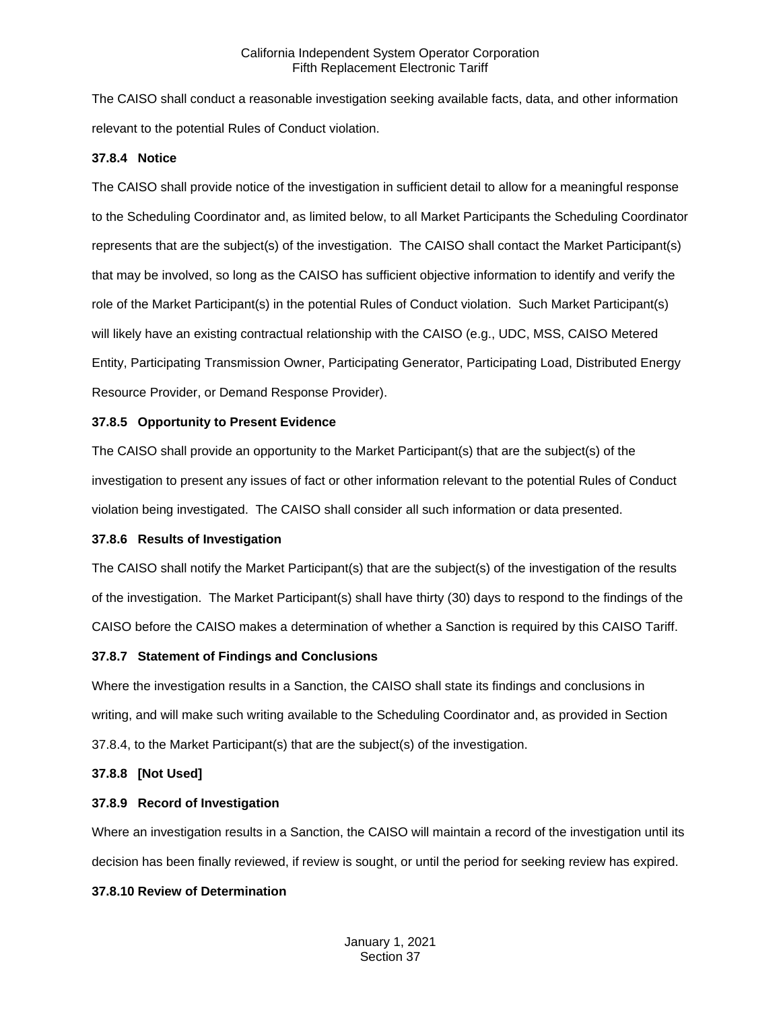The CAISO shall conduct a reasonable investigation seeking available facts, data, and other information relevant to the potential Rules of Conduct violation.

#### <span id="page-8-0"></span>**37.8.4 Notice**

The CAISO shall provide notice of the investigation in sufficient detail to allow for a meaningful response to the Scheduling Coordinator and, as limited below, to all Market Participants the Scheduling Coordinator represents that are the subject(s) of the investigation. The CAISO shall contact the Market Participant(s) that may be involved, so long as the CAISO has sufficient objective information to identify and verify the role of the Market Participant(s) in the potential Rules of Conduct violation. Such Market Participant(s) will likely have an existing contractual relationship with the CAISO (e.g., UDC, MSS, CAISO Metered Entity, Participating Transmission Owner, Participating Generator, Participating Load, Distributed Energy Resource Provider, or Demand Response Provider).

#### <span id="page-8-1"></span>**37.8.5 Opportunity to Present Evidence**

The CAISO shall provide an opportunity to the Market Participant(s) that are the subject(s) of the investigation to present any issues of fact or other information relevant to the potential Rules of Conduct violation being investigated. The CAISO shall consider all such information or data presented.

# <span id="page-8-2"></span>**37.8.6 Results of Investigation**

The CAISO shall notify the Market Participant(s) that are the subject(s) of the investigation of the results of the investigation. The Market Participant(s) shall have thirty (30) days to respond to the findings of the CAISO before the CAISO makes a determination of whether a Sanction is required by this CAISO Tariff.

# <span id="page-8-3"></span>**37.8.7 Statement of Findings and Conclusions**

Where the investigation results in a Sanction, the CAISO shall state its findings and conclusions in writing, and will make such writing available to the Scheduling Coordinator and, as provided in Section 37.8.4, to the Market Participant(s) that are the subject(s) of the investigation.

#### <span id="page-8-4"></span>**37.8.8 [Not Used]**

# <span id="page-8-5"></span>**37.8.9 Record of Investigation**

Where an investigation results in a Sanction, the CAISO will maintain a record of the investigation until its decision has been finally reviewed, if review is sought, or until the period for seeking review has expired.

# <span id="page-8-6"></span>**37.8.10 Review of Determination**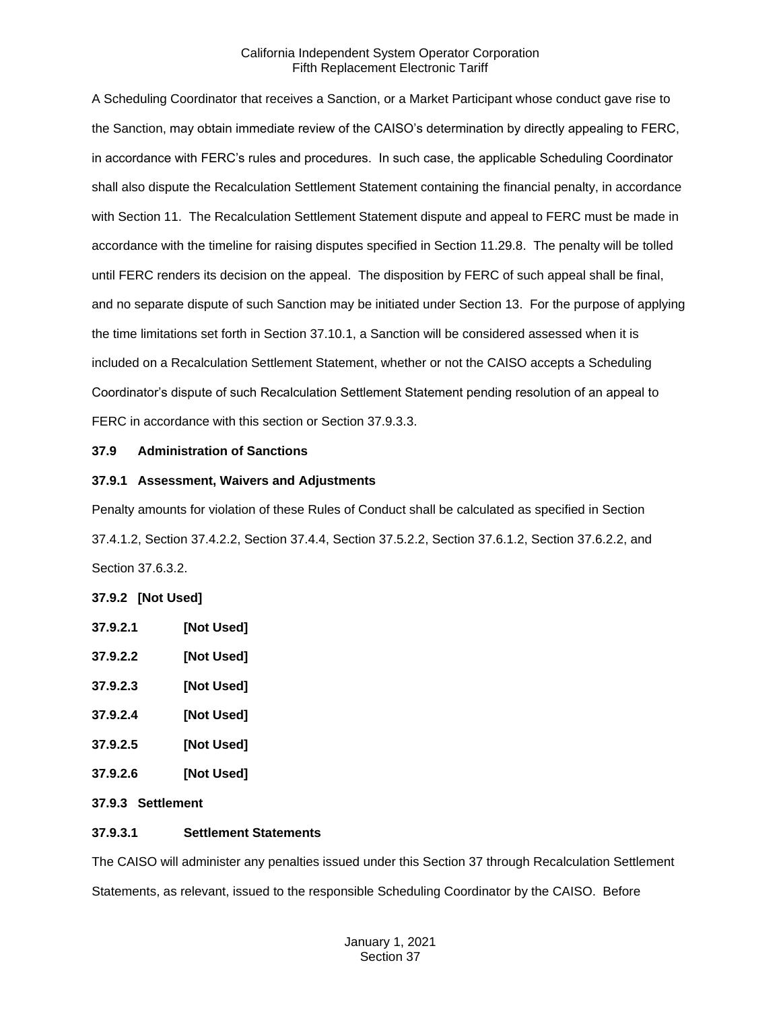A Scheduling Coordinator that receives a Sanction, or a Market Participant whose conduct gave rise to the Sanction, may obtain immediate review of the CAISO's determination by directly appealing to FERC, in accordance with FERC's rules and procedures. In such case, the applicable Scheduling Coordinator shall also dispute the Recalculation Settlement Statement containing the financial penalty, in accordance with Section 11. The Recalculation Settlement Statement dispute and appeal to FERC must be made in accordance with the timeline for raising disputes specified in Section 11.29.8. The penalty will be tolled until FERC renders its decision on the appeal. The disposition by FERC of such appeal shall be final, and no separate dispute of such Sanction may be initiated under Section 13. For the purpose of applying the time limitations set forth in Section 37.10.1, a Sanction will be considered assessed when it is included on a Recalculation Settlement Statement, whether or not the CAISO accepts a Scheduling Coordinator's dispute of such Recalculation Settlement Statement pending resolution of an appeal to FERC in accordance with this section or Section 37.9.3.3.

#### <span id="page-9-0"></span>**37.9 Administration of Sanctions**

#### <span id="page-9-1"></span>**37.9.1 Assessment, Waivers and Adjustments**

Penalty amounts for violation of these Rules of Conduct shall be calculated as specified in Section 37.4.1.2, Section 37.4.2.2, Section 37.4.4, Section 37.5.2.2, Section 37.6.1.2, Section 37.6.2.2, and Section 37.6.3.2.

# <span id="page-9-2"></span>**37.9.2 [Not Used]**

| 37.9.2.1 | [Not Used] |
|----------|------------|
| 37.9.2.2 | [Not Used] |
| 37.9.2.3 | [Not Used] |
| 37.9.2.4 | [Not Used] |
| 37.9.2.5 | [Not Used] |

**37.9.2.6 [Not Used]**

# <span id="page-9-3"></span>**37.9.3 Settlement**

# **37.9.3.1 Settlement Statements**

The CAISO will administer any penalties issued under this Section 37 through Recalculation Settlement Statements, as relevant, issued to the responsible Scheduling Coordinator by the CAISO. Before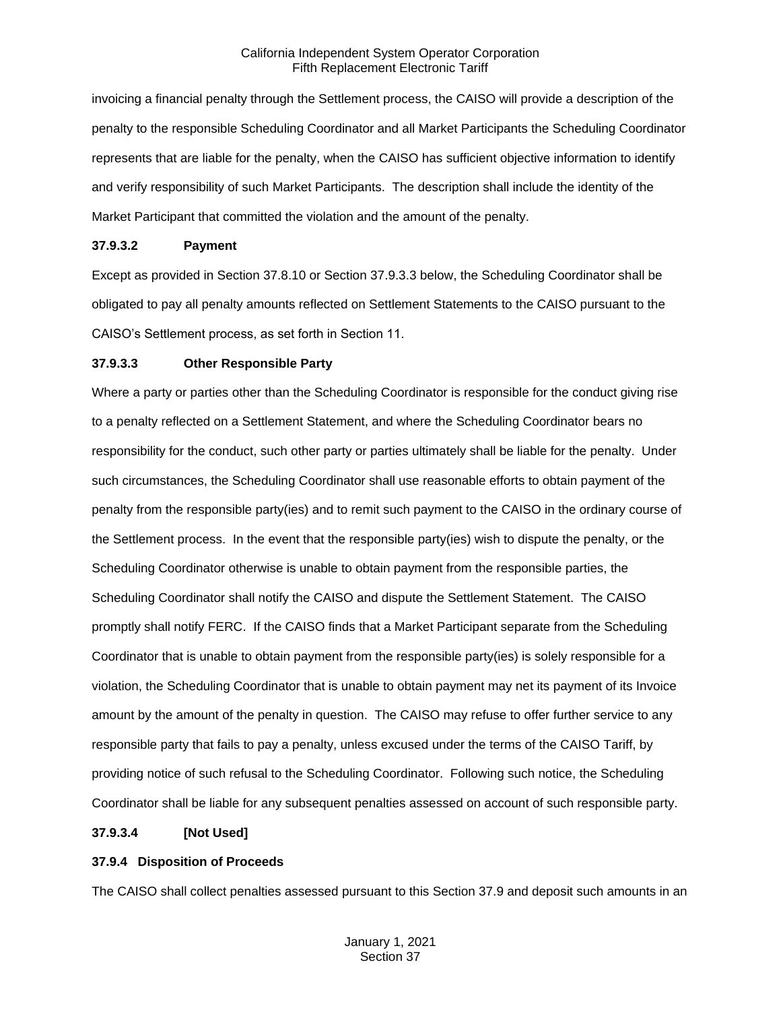invoicing a financial penalty through the Settlement process, the CAISO will provide a description of the penalty to the responsible Scheduling Coordinator and all Market Participants the Scheduling Coordinator represents that are liable for the penalty, when the CAISO has sufficient objective information to identify and verify responsibility of such Market Participants. The description shall include the identity of the Market Participant that committed the violation and the amount of the penalty.

#### **37.9.3.2 Payment**

Except as provided in Section 37.8.10 or Section 37.9.3.3 below, the Scheduling Coordinator shall be obligated to pay all penalty amounts reflected on Settlement Statements to the CAISO pursuant to the CAISO's Settlement process, as set forth in Section 11.

#### **37.9.3.3 Other Responsible Party**

Where a party or parties other than the Scheduling Coordinator is responsible for the conduct giving rise to a penalty reflected on a Settlement Statement, and where the Scheduling Coordinator bears no responsibility for the conduct, such other party or parties ultimately shall be liable for the penalty. Under such circumstances, the Scheduling Coordinator shall use reasonable efforts to obtain payment of the penalty from the responsible party(ies) and to remit such payment to the CAISO in the ordinary course of the Settlement process. In the event that the responsible party(ies) wish to dispute the penalty, or the Scheduling Coordinator otherwise is unable to obtain payment from the responsible parties, the Scheduling Coordinator shall notify the CAISO and dispute the Settlement Statement. The CAISO promptly shall notify FERC. If the CAISO finds that a Market Participant separate from the Scheduling Coordinator that is unable to obtain payment from the responsible party(ies) is solely responsible for a violation, the Scheduling Coordinator that is unable to obtain payment may net its payment of its Invoice amount by the amount of the penalty in question. The CAISO may refuse to offer further service to any responsible party that fails to pay a penalty, unless excused under the terms of the CAISO Tariff, by providing notice of such refusal to the Scheduling Coordinator. Following such notice, the Scheduling Coordinator shall be liable for any subsequent penalties assessed on account of such responsible party.

# **37.9.3.4 [Not Used]**

# <span id="page-10-0"></span>**37.9.4 Disposition of Proceeds**

The CAISO shall collect penalties assessed pursuant to this Section 37.9 and deposit such amounts in an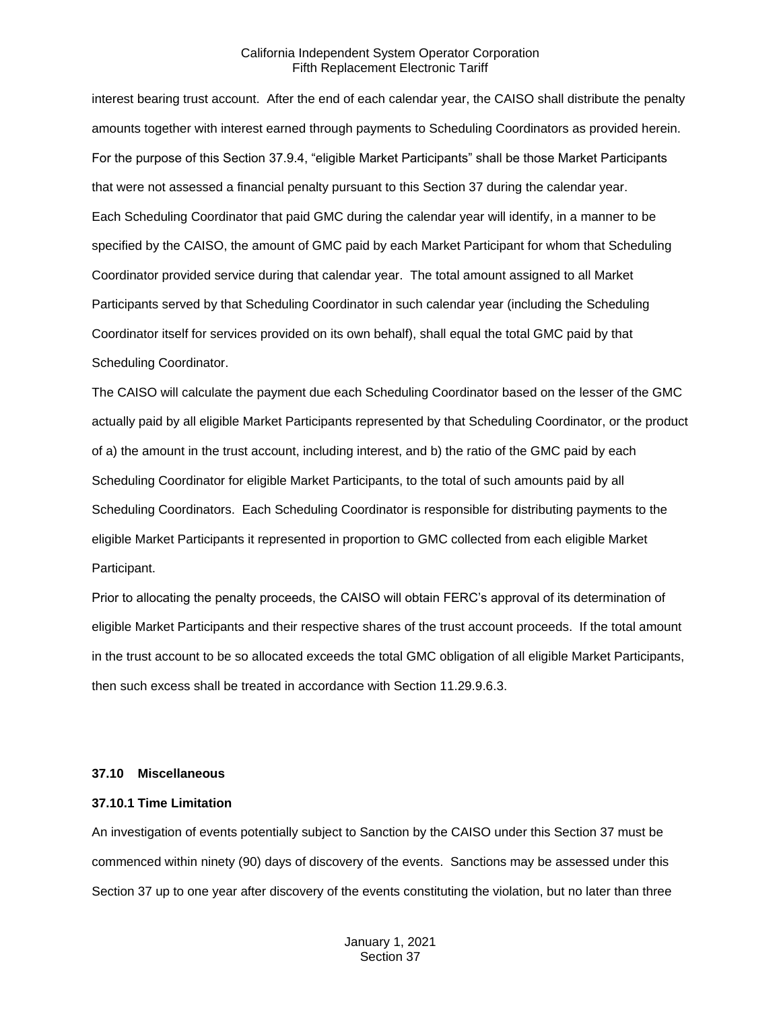interest bearing trust account. After the end of each calendar year, the CAISO shall distribute the penalty amounts together with interest earned through payments to Scheduling Coordinators as provided herein. For the purpose of this Section 37.9.4, "eligible Market Participants" shall be those Market Participants that were not assessed a financial penalty pursuant to this Section 37 during the calendar year. Each Scheduling Coordinator that paid GMC during the calendar year will identify, in a manner to be specified by the CAISO, the amount of GMC paid by each Market Participant for whom that Scheduling Coordinator provided service during that calendar year. The total amount assigned to all Market Participants served by that Scheduling Coordinator in such calendar year (including the Scheduling Coordinator itself for services provided on its own behalf), shall equal the total GMC paid by that Scheduling Coordinator.

The CAISO will calculate the payment due each Scheduling Coordinator based on the lesser of the GMC actually paid by all eligible Market Participants represented by that Scheduling Coordinator, or the product of a) the amount in the trust account, including interest, and b) the ratio of the GMC paid by each Scheduling Coordinator for eligible Market Participants, to the total of such amounts paid by all Scheduling Coordinators. Each Scheduling Coordinator is responsible for distributing payments to the eligible Market Participants it represented in proportion to GMC collected from each eligible Market Participant.

Prior to allocating the penalty proceeds, the CAISO will obtain FERC's approval of its determination of eligible Market Participants and their respective shares of the trust account proceeds. If the total amount in the trust account to be so allocated exceeds the total GMC obligation of all eligible Market Participants, then such excess shall be treated in accordance with Section 11.29.9.6.3.

#### <span id="page-11-0"></span>**37.10 Miscellaneous**

#### <span id="page-11-1"></span>**37.10.1 Time Limitation**

An investigation of events potentially subject to Sanction by the CAISO under this Section 37 must be commenced within ninety (90) days of discovery of the events. Sanctions may be assessed under this Section 37 up to one year after discovery of the events constituting the violation, but no later than three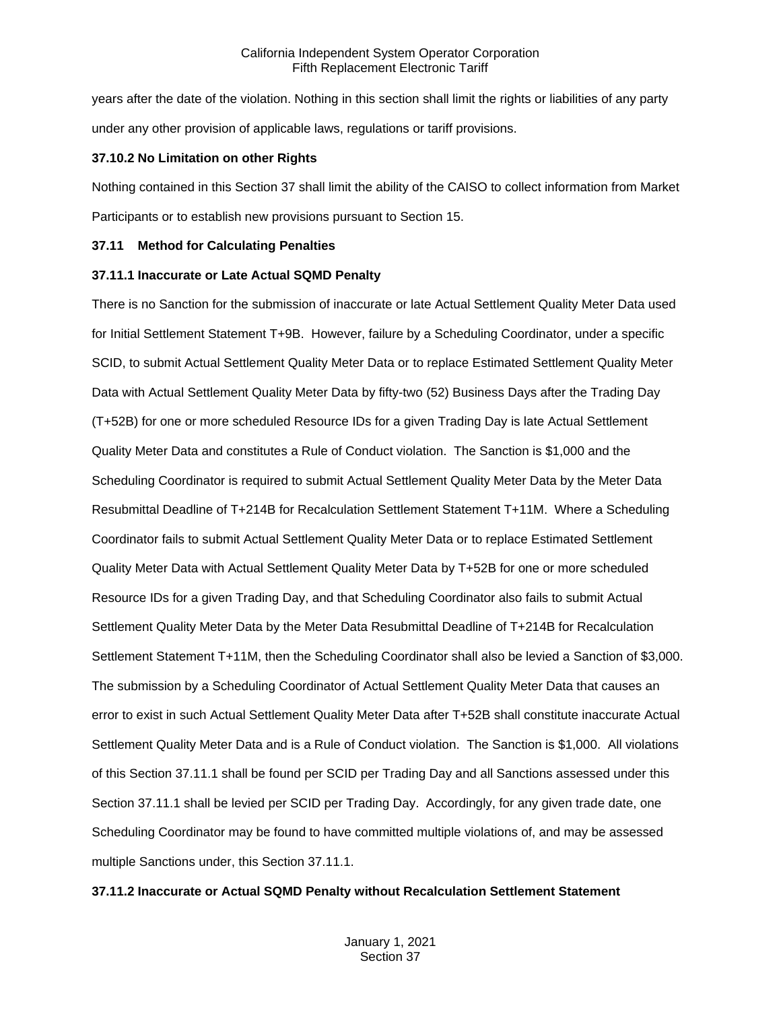years after the date of the violation. Nothing in this section shall limit the rights or liabilities of any party under any other provision of applicable laws, regulations or tariff provisions.

#### <span id="page-12-0"></span>**37.10.2 No Limitation on other Rights**

Nothing contained in this Section 37 shall limit the ability of the CAISO to collect information from Market Participants or to establish new provisions pursuant to Section 15.

#### <span id="page-12-1"></span>**37.11 Method for Calculating Penalties**

#### <span id="page-12-2"></span>**37.11.1 Inaccurate or Late Actual SQMD Penalty**

There is no Sanction for the submission of inaccurate or late Actual Settlement Quality Meter Data used for Initial Settlement Statement T+9B. However, failure by a Scheduling Coordinator, under a specific SCID, to submit Actual Settlement Quality Meter Data or to replace Estimated Settlement Quality Meter Data with Actual Settlement Quality Meter Data by fifty-two (52) Business Days after the Trading Day (T+52B) for one or more scheduled Resource IDs for a given Trading Day is late Actual Settlement Quality Meter Data and constitutes a Rule of Conduct violation. The Sanction is \$1,000 and the Scheduling Coordinator is required to submit Actual Settlement Quality Meter Data by the Meter Data Resubmittal Deadline of T+214B for Recalculation Settlement Statement T+11M. Where a Scheduling Coordinator fails to submit Actual Settlement Quality Meter Data or to replace Estimated Settlement Quality Meter Data with Actual Settlement Quality Meter Data by T+52B for one or more scheduled Resource IDs for a given Trading Day, and that Scheduling Coordinator also fails to submit Actual Settlement Quality Meter Data by the Meter Data Resubmittal Deadline of T+214B for Recalculation Settlement Statement T+11M, then the Scheduling Coordinator shall also be levied a Sanction of \$3,000. The submission by a Scheduling Coordinator of Actual Settlement Quality Meter Data that causes an error to exist in such Actual Settlement Quality Meter Data after T+52B shall constitute inaccurate Actual Settlement Quality Meter Data and is a Rule of Conduct violation. The Sanction is \$1,000. All violations of this Section 37.11.1 shall be found per SCID per Trading Day and all Sanctions assessed under this Section 37.11.1 shall be levied per SCID per Trading Day. Accordingly, for any given trade date, one Scheduling Coordinator may be found to have committed multiple violations of, and may be assessed multiple Sanctions under, this Section 37.11.1.

#### <span id="page-12-3"></span>**37.11.2 Inaccurate or Actual SQMD Penalty without Recalculation Settlement Statement**